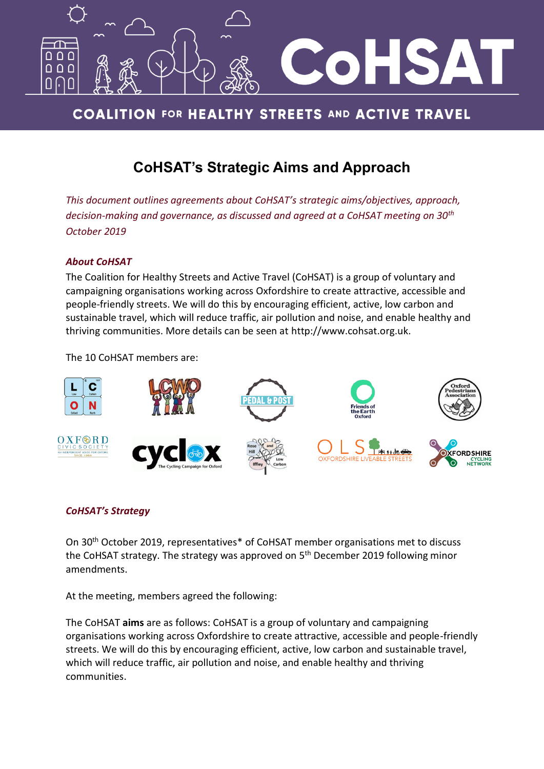

# **COALITION FOR HEALTHY STREETS AND ACTIVE TRAVEL**

# **CoHSAT's Strategic Aims and Approach**

*This document outlines agreements about CoHSAT's strategic aims/objectives, approach, decision-making and governance, as discussed and agreed at a CoHSAT meeting on 30th October 2019*

## *About CoHSAT*

The Coalition for Healthy Streets and Active Travel (CoHSAT) is a group of voluntary and campaigning organisations working across Oxfordshire to create attractive, accessible and people-friendly streets. We will do this by encouraging efficient, active, low carbon and sustainable travel, which will reduce traffic, air pollution and noise, and enable healthy and thriving communities. More details can be seen at [http://www.cohsat.org.uk.](http://www.cohsat.org.uk/)

The 10 CoHSAT members are:



## *CoHSAT's Strategy*

On 30th October 2019, representatives\* of CoHSAT member organisations met to discuss the CoHSAT strategy. The strategy was approved on 5<sup>th</sup> December 2019 following minor amendments.

At the meeting, members agreed the following:

The CoHSAT **aims** are as follows: CoHSAT is a group of voluntary and campaigning organisations working across Oxfordshire to create attractive, accessible and people-friendly streets. We will do this by encouraging efficient, active, low carbon and sustainable travel, which will reduce traffic, air pollution and noise, and enable healthy and thriving communities.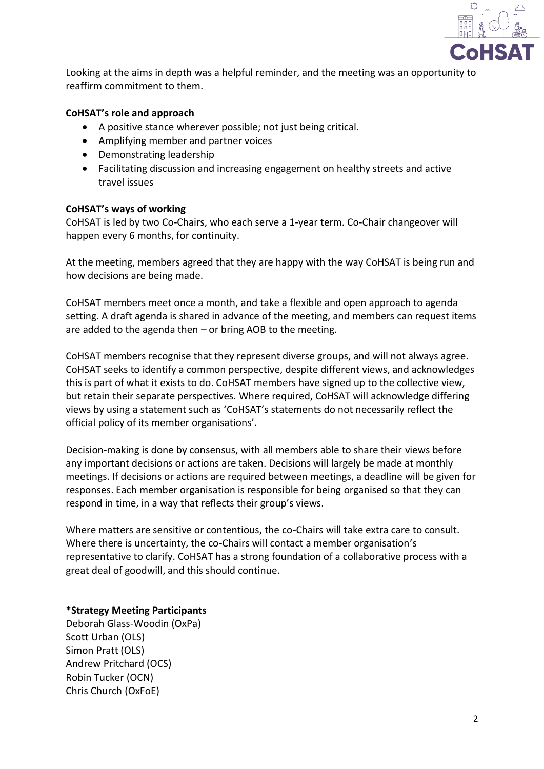

Looking at the aims in depth was a helpful reminder, and the meeting was an opportunity to reaffirm commitment to them.

#### **CoHSAT's role and approach**

- A positive stance wherever possible; not just being critical.
- Amplifying member and partner voices
- Demonstrating leadership
- Facilitating discussion and increasing engagement on healthy streets and active travel issues

#### **CoHSAT's ways of working**

CoHSAT is led by two Co-Chairs, who each serve a 1-year term. Co-Chair changeover will happen every 6 months, for continuity.

At the meeting, members agreed that they are happy with the way CoHSAT is being run and how decisions are being made.

CoHSAT members meet once a month, and take a flexible and open approach to agenda setting. A draft agenda is shared in advance of the meeting, and members can request items are added to the agenda then – or bring AOB to the meeting.

CoHSAT members recognise that they represent diverse groups, and will not always agree. CoHSAT seeks to identify a common perspective, despite different views, and acknowledges this is part of what it exists to do. CoHSAT members have signed up to the collective view, but retain their separate perspectives. Where required, CoHSAT will acknowledge differing views by using a statement such as 'CoHSAT's statements do not necessarily reflect the official policy of its member organisations'.

Decision-making is done by consensus, with all members able to share their views before any important decisions or actions are taken. Decisions will largely be made at monthly meetings. If decisions or actions are required between meetings, a deadline will be given for responses. Each member organisation is responsible for being organised so that they can respond in time, in a way that reflects their group's views.

Where matters are sensitive or contentious, the co-Chairs will take extra care to consult. Where there is uncertainty, the co-Chairs will contact a member organisation's representative to clarify. CoHSAT has a strong foundation of a collaborative process with a great deal of goodwill, and this should continue.

## **\*Strategy Meeting Participants**

Deborah Glass-Woodin (OxPa) Scott Urban (OLS) Simon Pratt (OLS) Andrew Pritchard (OCS) Robin Tucker (OCN) Chris Church (OxFoE)